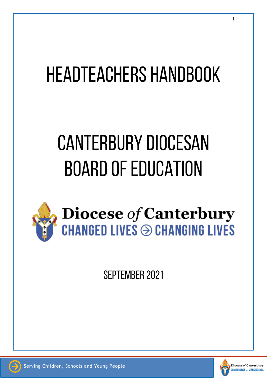# **HEADTEACHERS HANDBOOK**

# **CANTERBURY DIOCESAN BOARD OF EDUCATION**



**SEPTEMBER 2021** 

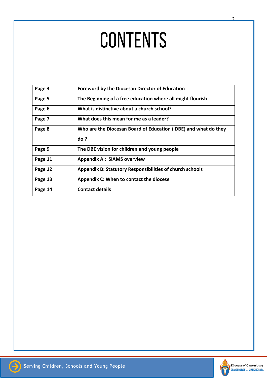# CONTENTS

| Page 3  | <b>Foreword by the Diocesan Director of Education</b>           |
|---------|-----------------------------------------------------------------|
| Page 5  | The Beginning of a free education where all might flourish      |
| Page 6  | What is distinctive about a church school?                      |
| Page 7  | What does this mean for me as a leader?                         |
| Page 8  | Who are the Diocesan Board of Education (DBE) and what do they  |
|         | do?                                                             |
| Page 9  | The DBE vision for children and young people                    |
| Page 11 | <b>Appendix A: SIAMS overview</b>                               |
| Page 12 | <b>Appendix B: Statutory Responsibilities of church schools</b> |
| Page 13 | Appendix C: When to contact the diocese                         |
| Page 14 | <b>Contact details</b>                                          |
|         |                                                                 |



2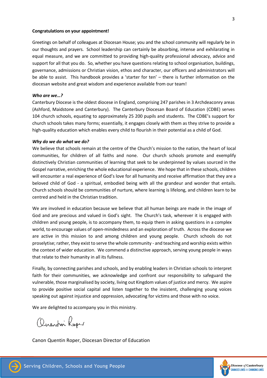#### **Congratulations on your appointment!**

Greetings on behalf of colleagues at Diocesan House; you and the school community will regularly be in our thoughts and prayers. School leadership can certainly be absorbing, intense and exhilarating in equal measure, and we are committed to providing high-quality professional advocacy, advice and support for all that you do. So, whether you have questions relating to school organisation, buildings, governance, admissions or Christian vision, ethos and character, our officers and administrators will be able to assist. This handbook provides a 'starter for ten' – there is further information on the diocesan website and great wisdom and experience available from our team!

#### *Who are we…?*

Canterbury Diocese is the oldest diocese in England, comprising 247 parishes in 3 Archdeaconry areas (Ashford, Maidstone and Canterbury). The Canterbury Diocesan Board of Education (CDBE) serves 104 church schools, equating to approximately 25 200 pupils and students. The CDBE's support for church schools takes many forms; essentially, it engages closely with them as they strive to provide a high-quality education which enables every child to flourish in their potential as a child of God.

#### *Why do we do what we do?*

We believe that schools remain at the centre of the Church's mission to the nation, the heart of local communities, for children of all faiths and none. Our church schools promote and exemplify distinctively Christian communities of learning that seek to be underpinned by values sourced in the Gospel narrative, enriching the whole educational experience. We hope that in these schools, children will encounter a real experience of God's love for all humanity and receive affirmation that they are a beloved child of God - a spiritual, embodied being with all the grandeur and wonder that entails. Church schools should be communities of nurture, where learning is lifelong, and children learn to be centred and held in the Christian tradition.

We are involved in education because we believe that all human beings are made in the image of God and are precious and valued in God's sight. The Church's task, wherever it is engaged with children and young people, is to accompany them, to equip them in asking questions in a complex world, to encourage values of open-mindedness and an exploration of truth. Across the diocese we are active in this mission to and among children and young people. Church schools do not proselytise; rather, they exist to serve the whole community - and teaching and worship exists within the context of wider education. We commend a distinctive approach, serving young people in ways that relate to their humanity in all its fullness.

Finally, by connecting parishes and schools, and by enabling leaders in Christian schools to interpret faith for their communities, we acknowledge and confront our responsibility to safeguard the vulnerable, those marginalised by society, living out Kingdom values of justice and mercy. We aspire to provide positive social capital and listen together to the insistent, challenging young voices speaking out against injustice and oppression, advocating for victims and those with no voice.

We are delighted to accompany you in this ministry.

Onenti Roger

Canon Quentin Roper, Diocesan Director of Education



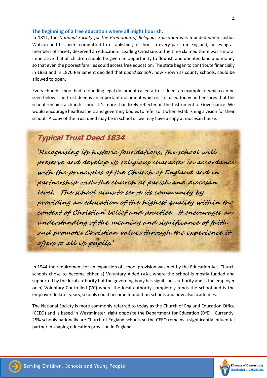#### **The beginning of a free education where all might flourish.**

In 1811, the *National Society for the Promotion of Religious Education* was founded when Joshua Watson and his peers committed to establishing a school in every parish in England, believing all members of society deserved an education. Leading Christians at the time claimed there was a moral imperative that all children should be given an opportunity to flourish and donated land and money so that even the poorest families could access free education. The state began to contribute financially in 1833 and in 1870 Parliament decided that *board schools*, now known as county schools, could be allowed to open.

Every church school had a founding legal document called a trust deed, an example of which can be seen below. The trust deed is an important document which is still used today and ensures that the school remains a church school. It's more than likely reflected in the Instrument of Governance. We would encourage headteachers and governing bodies to refer to it when establishing a vision for their school. A copy of the trust deed may be in school or we may have a copy at diocesan house.

# **Typical Trust Deed 1834**

'**Recognising its historic foundations, the school will preserve and develop its religious character in accordance with the principles of the Church of England and in partnership with the church at parish and diocesan level. The school aims to serve its community by providing an education of the highest quality within the context of Christian belief and practice. It encourages an understanding of the meaning and significance of faith and promotes Christian values through the experience it offers to all its pupils.'**

In 1944 the requirement for an expansion of school provision was met by the Education Act. Church schools chose to become either a) Voluntary Aided (VA), where the school is mostly funded and supported by the local authority but the governing body has significant authority and is the employer or b) Voluntary Controlled (VC) where the local authority completely funds the school and is the employer. In later years, schools could become foundation schools and now also academies.

The National Society is more commonly referred to today as the Church of England Education Office (CEEO) and is based in Westminster, right opposite the Department for Education (DfE). Currently, 25% schools nationally are Church of England schools so the CEEO remains a significantly influential partner in shaping education provision in England.

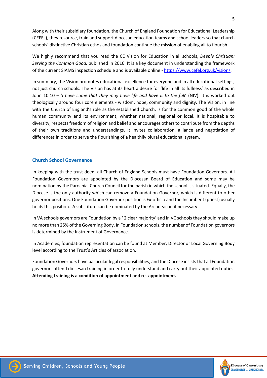Along with their subsidiary foundation, the Church of England Foundation for Educational Leadership (CEFEL), they resource, train and support diocesan education teams and school leaders so that church schools' distinctive Christian ethos and foundation continue the mission of enabling all to flourish.

We highly recommend that you read the CE Vision for Education in all schools, *Deeply Christian: Serving the Common Good,* published in 2016. It is a key document in understanding the framework of the current SIAMS inspection schedule and is available online - [https://www.cefel.org.uk/vision/.](https://www.cefel.org.uk/vision/)

In summary, the Vision promotes educational excellence for everyone and in all educational settings, not just church schools. The Vision has at its heart a desire for 'life in all its fullness' as described in John 10:10 – '*I have come that they may have life and have it to the full*' (NIV). It is worked out theologically around four core elements - wisdom, hope, community and dignity. The Vision, in line with the Church of England's role as the established Church, is for the common good of the whole human community and its environment, whether national, regional or local. It is hospitable to diversity, respects freedom of religion and belief and encourages others to contribute from the depths of their own traditions and understandings. It invites collaboration, alliance and negotiation of differences in order to serve the flourishing of a healthily plural educational system.

# **Church School Governance**

In keeping with the trust deed, all Church of England Schools must have Foundation Governors. All Foundation Governors are appointed by the Diocesan Board of Education and some may be nomination by the Parochial Church Council for the parish in which the school is situated. Equally, the Diocese is the only authority which can remove a Foundation Governor, which is different to other governor positions. One Foundation Governor position is Ex-officio and the Incumbent (priest) usually holds this position. A substitute can be nominated by the Archdeacon if necessary.

In VA schools governors are Foundation by a ' 2 clear majority' and in VC schools they should make up no more than 25% of the Governing Body. In Foundation schools, the number of Foundation governors is determined by the Instrument of Governance.

In Academies, foundation representation can be found at Member, Director or Local Governing Body level according to the Trust's Articles of association.

Foundation Governors have particular legal responsibilities, and the Diocese insists that all Foundation governors attend diocesan training in order to fully understand and carry out their appointed duties. **Attending training is a condition of appointment and re- appointment.**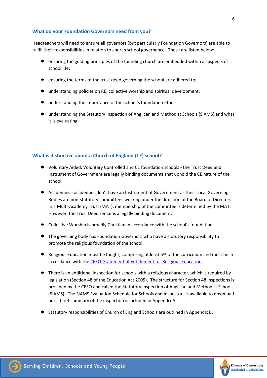# **What do your Foundation Governors need from you?**

Headteachers will need to ensure all governors (but particularly Foundation Governors) are able to fulfill their responsibilities in relation to church school governance. These are listed below:

- $\rightarrow$  ensuring the guiding principles of the founding church are embedded within all aspects of school life;
- $\rightarrow$  ensuring the terms of the trust deed governing the school are adhered to;
- $\rightarrow$  understanding policies on RE, collective worship and spiritual development;
- **■** understanding the importance of the school's foundation ethos;
- **→** understanding the Statutory Inspection of Anglican and Methodist Schools (SIAMS) and what it is evaluating

# **What is distinctive about a Church of England (CE) school?**

- ◆ Voluntary Aided, Voluntary Controlled and CE foundation schools the Trust Deed and Instrument of Government are legally binding documents that uphold the CE nature of the school
- $\rightarrow$  Academies academies don't have an Instrument of Government as their Local Governing Bodies are non-statutory committees working under the direction of the Board of Directors. In a Multi-Academy Trust (MAT), membership of the committee is determined by the MAT. However, the Trust Deed remains a legally binding document.
- ◆ Collective Worship is broadly Christian in accordance with the school's foundation
- **→** The governing body has Foundation Governors who have a statutory responsibility to promote the religious foundation of the school.
- Religious Education must be taught, comprising at least 5% of the curriculum and must be in accordance with the [CEEO Statement of Entitlement for Religious Education.](https://www.churchofengland.org/sites/default/files/2019-02/RE%20Statement%20of%20Entitlement%20for%20Church%20Schools.pdf)
- $\rightarrow$  There is an additional inspection for schools with a religious character, which is required by legislation (Section 48 of the Education Act 2005). The structure for Section 48 inspections is provided by the CEEO and called the Statutory Inspection of Anglican and Methodist Schools (SIAMS). The SIAMS Evaluation Schedule for Schools and Inspectors is available to download but a brief summary of the inspection is included in Appendix A.
- $\rightarrow$  Statutory responsibilities of Church of England Schools are outlined in Appendix B.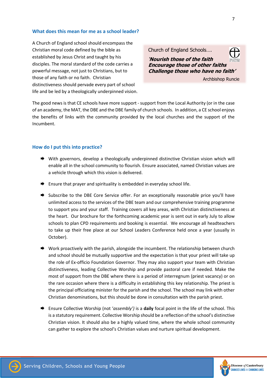# **What does this mean for me as a school leader?**

A Church of England school should encompass the Christian moral code defined by the bible as established by Jesus Christ and taught by his disciples. The moral standard of the code carries a powerful message, not just to Christians, but to those of any faith or no faith. Christian distinctiveness should pervade every part of school life and be led by a theologically underpinned vision.

Church of England Schools…. '**Nourish those of the faith Encourage those of other faiths Challenge those who have no faith'** Archbishop Runcie

The good news is that CE schools have more support - support from the Local Authority (or in the case of an academy, the MAT, the DBE and the DBE family of church schools. In addition, a CE school enjoys the benefits of links with the community provided by the local churches and the support of the Incumbent.

# **How do I put this into practice?**

- ◆ With governors, develop a theologically underpinned distinctive Christian vision which will enable all in the school community to flourish. Ensure associated, named Christian values are a vehicle through which this vision is delivered.
- $\rightarrow$  Ensure that prayer and spirituality is embedded in everyday school life.
- Subscribe to the DBE Core Service offer. For an exceptionally reasonable price you'll have unlimited access to the services of the DBE team and our comprehensive training programme to support you and your staff. Training covers all key areas, with Christian distinctiveness at the heart. Our brochure for the forthcoming academic year is sent out in early July to allow schools to plan CPD requirements and booking is essential. We encourage all headteachers to take up their free place at our School Leaders Conference held once a year (usually in October).
- $\rightarrow$  Work proactively with the parish, alongside the incumbent. The relationship between church and school should be mutually supportive and the expectation is that your priest will take up the role of Ex-officio Foundation Governor. They may also support your team with Christian distinctiveness, leading Collective Worship and provide pastoral care if needed. Make the most of support from the DBE where there is a period of interregnum (priest vacancy) or on the rare occasion where there is a difficulty in establishing this key relationship. The priest is the principal officiating minister for the parish and the school. The school may link with other Christian denominations, but this should be done in consultation with the parish priest.
- Ensure Collective Worship (not '*assembly')* is a **daily** focal point in the life of the school. This is a statutory requirement. Collective Worship should be a reflection of the school's distinctive Christian vision. It should also be a highly valued time, where the whole school community can gather to explore the school's Christian values and nurture spiritual development.



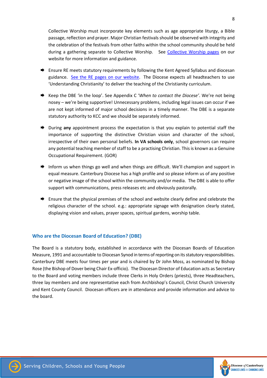Collective Worship must incorporate key elements such as age appropriate liturgy, a Bible passage, reflection and prayer. Major Christian festivals should be observed with integrity and the celebration of the festivals from other faiths within the school community should be held during a gathering separate to Collective Worship. See [Collective Worship pages](https://www.canterburydiocese.org/childrenandyoungpeople/our-schools/collective-worship/a-fresh-approach-to-collective-worship/) on our website for more information and guidance.

- **►** Ensure RE meets statutory requirements by following the Kent Agreed Syllabus and diocesan guidance. [See the RE pages](https://www.canterburydiocese.org/childrenandyoungpeople/our-schools/religious-education/) on our website. The Diocese expects all headteachers to use 'Understanding Christianity' to deliver the teaching of the Christianity curriculum.
- Keep the DBE 'in the loop'. See Appendix C '*When to contact the Diocese'*. We're not being nosey – we're being supportive! Unnecessary problems, including legal issues can occur if we are not kept informed of major school decisions in a timely manner. The DBE is a separate statutory authority to KCC and we should be separately informed.
- During **any** appointment process the expectation is that you explain to potential staff the importance of supporting the distinctive Christian vision and character of the school, irrespective of their own personal beliefs. **In VA schools only**, school governors can require any potential teaching member of staff to be a practising Christian. This is known as a Genuine Occupational Requirement. (GOR)
- $\rightarrow$  Inform us when things go well and when things are difficult. We'll champion and support in equal measure. Canterbury Diocese has a high profile and so please inform us of any positive or negative image of the school within the community and/or media. The DBE is able to offer support with communications, press releases etc and obviously pastorally.
- ♦ Ensure that the physical premises of the school and website clearly define and celebrate the religious character of the school. e.g.: appropriate signage with designation clearly stated, displaying vision and values, prayer spaces, spiritual gardens, worship table.

# **Who are the Diocesan Board of Education? (DBE)**

The Board is a statutory body, established in accordance with the Diocesan Boards of Education Measure, 1991 and accountable to Diocesan Synod in terms of reporting on its statutory responsibilities. Canterbury DBE meets four times per year and is chaired by Dr John Moss, as nominated by Bishop Rose (the Bishop of Dover being Chair Ex-officio). The Diocesan Director of Education acts as Secretary to the Board and voting members include three Clerks in Holy Orders (priests), three Headteachers, three lay members and one representative each from Archbishop's Council, Christ Church University and Kent County Council. Diocesan officers are in attendance and provide information and advice to the board.

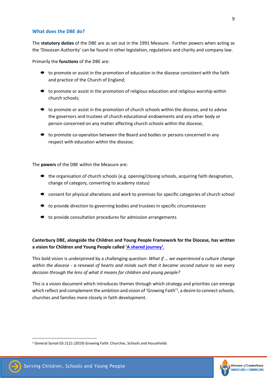#### **What does the DBE do?**

The **statutory duties** of the DBE are as set out in the 1991 Measure. Further powers when acting as the 'Diocesan Authority' can be found in other legislation, regulations and charity and company law.

Primarily the **functions** of the DBE are:

- $\rightarrow$  to promote or assist in the promotion of education in the diocese consistent with the faith and practice of the Church of England;
- $\rightarrow$  to promote or assist in the promotion of religious education and religious worship within church schools;
- $\rightarrow$  to promote or assist in the promotion of church schools within the diocese, and to advise the governors and trustees of church educational endowments and any other body or person concerned on any matter affecting church schools within the diocese;
- $\rightarrow$  to promote co-operation between the Board and bodies or persons concerned in any respect with education within the diocese;

The **powers** of the DBE within the Measure are:

- $\rightarrow$  the organisation of church schools (e.g. opening/closing schools, acquiring faith designation, change of category, converting to academy status)
- $\rightarrow$  consent for physical alterations and work to premises for specific categories of church school
- $\rightarrow$  to provide direction to governing bodies and trustees in specific circumstances
- $\rightarrow$  to provide consultation procedures for admission arrangements

**Canterbury DBE, alongside the Children and Young People Framework for the Diocese, has written a vision for Children and Young People called 'A [shared journey'.](https://d3hgrlq6yacptf.cloudfront.net/5f209069c4808/content/pages/documents/1583925750.pdf)**

This bold vision is underpinned by a challenging question: *What if … we experienced a culture change* within the diocese - a renewal of hearts and minds such that it became second nature to see every *decision through the lens of what it means for children and young people?*

This is a vision document which introduces themes through which strategy and priorities can emerge which reflect and complement the ambition and vision of 'Growing Faith'<sup>1</sup>, a desire to connect schools, churches and families more closely in faith development.

<sup>1</sup> General Synod GS 2121 (2019) Growing Faith: Churches, Schools and Households



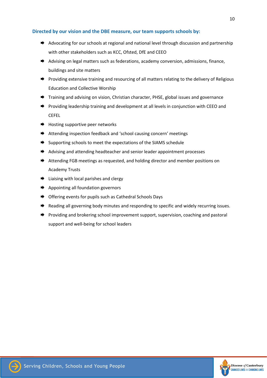# **Directed by our vision and the DBE measure, our team supports schools by:**

- Advocating for our schools at regional and national level through discussion and partnership with other stakeholders such as KCC, Ofsted, DfE and CEEO
- Advising on legal matters such as federations, academy conversion, admissions, finance, buildings and site matters
- $\rightarrow$  Providing extensive training and resourcing of all matters relating to the delivery of Religious Education and Collective Worship
- **→** Training and advising on vision, Christian character, PHSE, global issues and governance
- ♦ Providing leadership training and development at all levels in conjunction with CEEO and CEFEL
- $\rightarrow$  Hosting supportive peer networks
- ◆ Attending inspection feedback and 'school causing concern' meetings
- $\rightarrow$  Supporting schools to meet the expectations of the SIAMS schedule
- **→** Advising and attending headteacher and senior leader appointment processes
- ♦ Attending FGB meetings as requested, and holding director and member positions on Academy Trusts
- $\rightarrow$  Liaising with local parishes and clergy
- $\rightarrow$  Appointing all foundation governors
- ♦ Offering events for pupils such as Cathedral Schools Days
- Reading all governing body minutes and responding to specific and widely recurring issues.
- $\rightarrow$  Providing and brokering school improvement support, supervision, coaching and pastoral support and well-being for school leaders

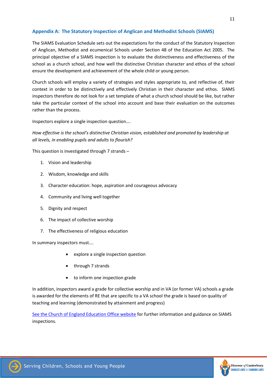# **Appendix A: The Statutory Inspection of Anglican and Methodist Schools (SIAMS)**

The SIAMS Evaluation Schedule sets out the expectations for the conduct of the Statutory Inspection of Anglican, Methodist and ecumenical Schools under Section 48 of the Education Act 2005. The principal objective of a SIAMS inspection is to evaluate the distinctiveness and effectiveness of the school as a church school, and how well the distinctive Christian character and ethos of the school ensure the development and achievement of the whole child or young person.

Church schools will employ a variety of strategies and styles appropriate to, and reflective of, their context in order to be distinctively and effectively Christian in their character and ethos. SIAMS inspectors therefore do not look for a set template of what a church school should be like, but rather take the particular context of the school into account and base their evaluation on the outcomes rather than the process.

Inspectors explore a single inspection question….

*How effective is the school's distinctive Christian vision, established and promoted by leadership at all levels, in enabling pupils and adults to flourish?*

This question is investigated through 7 strands –

- 1. Vision and leadership
- 2. Wisdom, knowledge and skills
- 3. Character education: hope, aspiration and courageous advocacy
- 4. Community and living well together
- 5. Dignity and respect
- 6. The impact of collective worship
- 7. The effectiveness of religious education

In summary inspectors must….

- explore a single inspection question
- through 7 strands
- to inform one inspection grade

In addition, inspectors award a grade for collective worship and in VA (or former VA) schools a grade is awarded for the elements of RE that are specific to a VA school the grade is based on quality of teaching and learning (demonstrated by attainment and progress)

[See the Church of England Education Office website](https://www.churchofengland.org/about/education-and-schools/church-schools-and-academies/siams-inspections) for further information and guidance on SIAMS inspections.

11

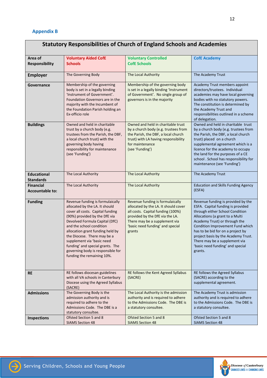| <b>Statutory Responsibilities of Church of England Schools and Academies</b> |                                                                                                                                                                                                                                                                                                                                                                                                               |                                                                                                                                                                                                                                 |                                                                                                                                                                                                                                                                                                                                                                                |  |  |
|------------------------------------------------------------------------------|---------------------------------------------------------------------------------------------------------------------------------------------------------------------------------------------------------------------------------------------------------------------------------------------------------------------------------------------------------------------------------------------------------------|---------------------------------------------------------------------------------------------------------------------------------------------------------------------------------------------------------------------------------|--------------------------------------------------------------------------------------------------------------------------------------------------------------------------------------------------------------------------------------------------------------------------------------------------------------------------------------------------------------------------------|--|--|
| Area of<br><b>Responsibility</b>                                             | <b>Voluntary Aided CofE</b><br><b>Schools</b>                                                                                                                                                                                                                                                                                                                                                                 | <b>Voluntary Controlled</b><br><b>CofE Schools</b>                                                                                                                                                                              | <b>CofE Academy</b>                                                                                                                                                                                                                                                                                                                                                            |  |  |
| <b>Employer</b>                                                              | The Governing Body                                                                                                                                                                                                                                                                                                                                                                                            | The Local Authority                                                                                                                                                                                                             | The Academy Trust                                                                                                                                                                                                                                                                                                                                                              |  |  |
| Governance                                                                   | Membership of the governing<br>body is set in a legally binding<br>'Instrument of Government'.<br>Foundation Governors are in the<br>majority with the Incumbent of<br>the Foundation Parish holding an<br>Ex-officio role                                                                                                                                                                                    | Membership of the governing body<br>is set in a legally binding 'Instrument<br>of Government'. No single group of<br>governors is in the majority                                                                               | Academy Trust members appoint<br>directors/trustees. Individual<br>academies may have local governing<br>bodies with no statutory powers.<br>The constitution is determined by<br>the Academy Trust and<br>responsibilities outlined in a scheme<br>of delegation.                                                                                                             |  |  |
| <b>Buildings</b>                                                             | Owned and held in charitable<br>trust by a church body (e.g.<br>trustees from the Parish, the DBF,<br>a local church trust) with the<br>governing body having<br>responsibility for maintenance<br>(see 'Funding')                                                                                                                                                                                            | Owned and held in charitable trust<br>by a church body (e.g. trustees from<br>the Parish, the DBF, a local church<br>trust) with LA having responsibility<br>for maintenance<br>(see 'Funding')                                 | Owned and held in charitable trust<br>by a church body (e.g. trustees from<br>the Parish, the DBF, a local church<br>trust) placed on a church<br>supplemental agreement which is a<br>licence for the academy to occupy<br>the land for the purposes of a CE<br>school . School has responsibility for<br>maintenance (see 'Funding')                                         |  |  |
| <b>Educational</b><br><b>Standards</b>                                       | The Local Authority                                                                                                                                                                                                                                                                                                                                                                                           | The Local Authority                                                                                                                                                                                                             | The Academy Trust                                                                                                                                                                                                                                                                                                                                                              |  |  |
| <b>Financial</b><br><b>Accountable to:</b>                                   | The Local Authority                                                                                                                                                                                                                                                                                                                                                                                           | The Local Authority                                                                                                                                                                                                             | <b>Education and Skills Funding Agency</b><br>(ESFA)                                                                                                                                                                                                                                                                                                                           |  |  |
| <b>Funding</b>                                                               | Revenue funding is formulaically<br>allocated by the LA. It should<br>cover all costs. Capital funding<br>(90%) provided by the DfE via<br>Devolved Formula Capital (DfC)<br>and the school condition<br>allocation grant funding held by<br>the Diocese. There may be a<br>supplement via 'basic need<br>funding' and special grants. The<br>governing body is responsible for<br>funding the remaining 10%. | Revenue funding is formulaically<br>allocated by the LA. It should cover<br>all costs. Capital funding (100%)<br>provided by the DfE via the LA.<br>There may be a supplement via<br>'basic need funding' and special<br>grants | Revenue funding is provided by the<br>ESFA. Capital funding is provided<br>through either School Condition<br>Allocations (a grant to a Multi<br>Academy Trust) or through the<br>Condition Improvement Fund which<br>has to be bid for on a project by<br>project basis by the Academy Trust.<br>There may be a supplement via<br>'basic need funding' and special<br>grants. |  |  |
| <b>RE</b>                                                                    | RE follows diocesan guidelines<br>with all VA schools in Canterbury<br>Diocese using the Agreed Syllabus<br>(SACRE)                                                                                                                                                                                                                                                                                           | RE follows the Kent Agreed Syllabus<br>(SACRE)                                                                                                                                                                                  | RE follows the Agreed Syllabus<br>(SACRE) according to the<br>supplemental agreement.                                                                                                                                                                                                                                                                                          |  |  |
| <b>Admissions</b>                                                            | The Governing Body is the<br>admission authority and is<br>required to adhere to the<br>Admissions Code. The DBE is a<br>statutory consultee.                                                                                                                                                                                                                                                                 | The Local Authority is the admission<br>authority and is required to adhere<br>to the Admissions Code. The DBE is<br>a statutory consultee.                                                                                     | The Academy Trust is admission<br>authority and is required to adhere<br>to the Admissions Code. The DBE is<br>a statutory consultee.                                                                                                                                                                                                                                          |  |  |
| <b>Inspections</b>                                                           | Ofsted Section 5 and 8<br><b>SIAMS Section 48</b>                                                                                                                                                                                                                                                                                                                                                             | Ofsted Section 5 and 8<br><b>SIAMS Section 48</b>                                                                                                                                                                               | Ofsted Section 5 and 8<br><b>SIAMS Section 48</b>                                                                                                                                                                                                                                                                                                                              |  |  |



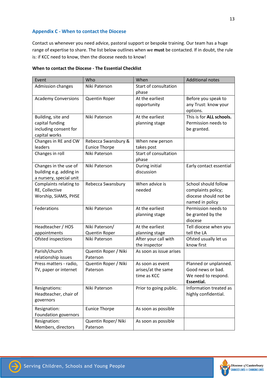# **Appendix C - When to contact the Diocese**

Contact us whenever you need advice, pastoral support or bespoke training. Our team has a huge range of expertise to share. The list below outlines when we **must** be contacted. If in doubt, the rule is: if KCC need to know, then the diocese needs to know!

| Event                      | Who                  | When                    | <b>Additional notes</b>  |
|----------------------------|----------------------|-------------------------|--------------------------|
| <b>Admission changes</b>   | Niki Paterson        | Start of consultation   |                          |
|                            |                      | phase                   |                          |
| <b>Academy Conversions</b> | Quentin Roper        | At the earliest         | Before you speak to      |
|                            |                      | opportunity             | any Trust: know your     |
|                            |                      |                         | options.                 |
| Building, site and         | Niki Paterson        | At the earliest         | This is for ALL schools. |
| capital funding            |                      | planning stage          | Permission needs to      |
| including consent for      |                      |                         | be granted.              |
| capital works              |                      |                         |                          |
| Changes in RE and CW       | Rebecca Swansbury &  | When new person         |                          |
| leaders                    | <b>Eunice Thorpe</b> | takes post              |                          |
| Changes in roll            | Niki Paterson        | Start of consultation   |                          |
|                            |                      | phase                   |                          |
| Changes in the use of      | Niki Paterson        | During initial          | Early contact essential  |
| building e.g. adding in    |                      | discussion              |                          |
| a nursery, special unit    |                      |                         |                          |
| Complaints relating to     | Rebecca Swansbury    | When advice is          | School should follow     |
| RE, Collective             |                      | needed                  | complaints policy;       |
| Worship, SIAMS, PHSE       |                      |                         | diocese should not be    |
|                            |                      |                         | named in policy          |
| Federations                | Niki Paterson        | At the earliest         | Permission needs to      |
|                            |                      | planning stage          | be granted by the        |
|                            |                      |                         | diocese                  |
| Headteacher / HOS          | Niki Paterson/       | At the earliest         | Tell diocese when you    |
| appointments               | Quentin Roper        | planning stage          | tell the LA              |
| Ofsted inspections         | Niki Paterson        | After your call with    | Ofsted usually let us    |
|                            |                      | the inspector           | know first               |
| Parish/church              | Quentin Roper / Niki | As soon as issue arises |                          |
| relationship issues        | Paterson             |                         |                          |
| Press matters - radio,     | Quentin Roper / Niki | As soon as event        | Planned or unplanned.    |
| TV, paper or internet      | Paterson             | arises/at the same      | Good news or bad.        |
|                            |                      | time as KCC             | We need to respond.      |
|                            |                      |                         | Essential.               |
| Resignations:              | Niki Paterson        | Prior to going public.  | Information treated as   |
| Headteacher, chair of      |                      |                         | highly confidential.     |
| governors                  |                      |                         |                          |
| Resignation:               | <b>Eunice Thorpe</b> | As soon as possible     |                          |
| Foundation governors       |                      |                         |                          |
| Resignation:               | Quentin Roper/ Niki  | As soon as possible     |                          |
| Members, directors         | Paterson             |                         |                          |

#### **When to contact the Diocese - The Essential Checklist**